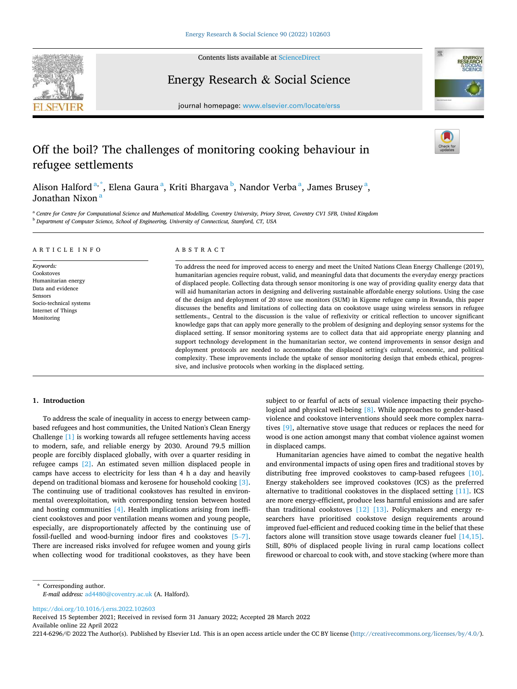

Contents lists available at [ScienceDirect](www.sciencedirect.com/science/journal/22146296)

Energy Research & Social Science



journal homepage: [www.elsevier.com/locate/erss](https://www.elsevier.com/locate/erss)

# Off the boil? The challenges of monitoring cooking behaviour in refugee settlements

Alison Halford <sup>a,\*</sup>, Elena Gaura <sup>a</sup>, Kriti Bhargava <sup>b</sup>, Nandor Verba <sup>a</sup>, James Brusey <sup>a</sup>, Jonathan Nixon<sup>8</sup>

<sup>a</sup> Centre for Centre for Computational Science and Mathematical Modelling, Coventry University, Priory Street, Coventry CV1 5FB, United Kingdom <sup>b</sup> *Department of Computer Science, School of Engineering, University of Connecticut, Stamford, CT, USA* 

#### ARTICLE INFO

*Keywords:*  Cookstoves Humanitarian energy Data and evidence Sensors Socio-technical systems Internet of Things Monitoring

#### ABSTRACT

To address the need for improved access to energy and meet the United Nations Clean Energy Challenge (2019), humanitarian agencies require robust, valid, and meaningful data that documents the everyday energy practices of displaced people. Collecting data through sensor monitoring is one way of providing quality energy data that will aid humanitarian actors in designing and delivering sustainable affordable energy solutions. Using the case of the design and deployment of 20 stove use monitors (SUM) in Kigeme refugee camp in Rwanda, this paper discusses the benefits and limitations of collecting data on cookstove usage using wireless sensors in refugee settlements., Central to the discussion is the value of reflexivity or critical reflection to uncover significant knowledge gaps that can apply more generally to the problem of designing and deploying sensor systems for the displaced setting. If sensor monitoring systems are to collect data that aid appropriate energy planning and support technology development in the humanitarian sector, we contend improvements in sensor design and deployment protocols are needed to accommodate the displaced setting's cultural, economic, and political complexity. These improvements include the uptake of sensor monitoring design that embeds ethical, progressive, and inclusive protocols when working in the displaced setting.

## **1. Introduction**

To address the scale of inequality in access to energy between campbased refugees and host communities, the United Nation's Clean Energy Challenge [\[1\]](#page-7-0) is working towards all refugee settlements having access to modern, safe, and reliable energy by 2030. Around 79.5 million people are forcibly displaced globally, with over a quarter residing in refugee camps [\[2\]](#page-7-0). An estimated seven million displaced people in camps have access to electricity for less than 4 h a day and heavily depend on traditional biomass and kerosene for household cooking [\[3\]](#page-7-0). The continuing use of traditional cookstoves has resulted in environmental overexploitation, with corresponding tension between hosted and hosting communities [\[4\]](#page-7-0). Health implications arising from inefficient cookstoves and poor ventilation means women and young people, especially, are disproportionately affected by the continuing use of fossil-fuelled and wood-burning indoor fires and cookstoves [\[5](#page-7-0)–7]. There are increased risks involved for refugee women and young girls when collecting wood for traditional cookstoves, as they have been subject to or fearful of acts of sexual violence impacting their psychological and physical well-being [\[8\].](#page-7-0) While approaches to gender-based violence and cookstove interventions should seek more complex narratives [\[9\],](#page-7-0) alternative stove usage that reduces or replaces the need for wood is one action amongst many that combat violence against women in displaced camps.

Humanitarian agencies have aimed to combat the negative health and environmental impacts of using open fires and traditional stoves by distributing free improved cookstoves to camp-based refugees [\[10\]](#page-7-0). Energy stakeholders see improved cookstoves (ICS) as the preferred alternative to traditional cookstoves in the displaced setting [\[11\].](#page-7-0) ICS are more energy-efficient, produce less harmful emissions and are safer than traditional cookstoves [\[12\] \[13\].](#page-7-0) Policymakers and energy researchers have prioritised cookstove design requirements around improved fuel-efficient and reduced cooking time in the belief that these factors alone will transition stove usage towards cleaner fuel [\[14,15\]](#page-7-0). Still, 80% of displaced people living in rural camp locations collect firewood or charcoal to cook with, and stove stacking (where more than

<https://doi.org/10.1016/j.erss.2022.102603>

Available online 22 April 2022 Received 15 September 2021; Received in revised form 31 January 2022; Accepted 28 March 2022

2214-6296/© 2022 The Author(s). Published by Elsevier Ltd. This is an open access article under the CC BY license [\(http://creativecommons.org/licenses/by/4.0/\)](http://creativecommons.org/licenses/by/4.0/).

<sup>\*</sup> Corresponding author. *E-mail address:* [ad4480@coventry.ac.uk](mailto:ad4480@coventry.ac.uk) (A. Halford).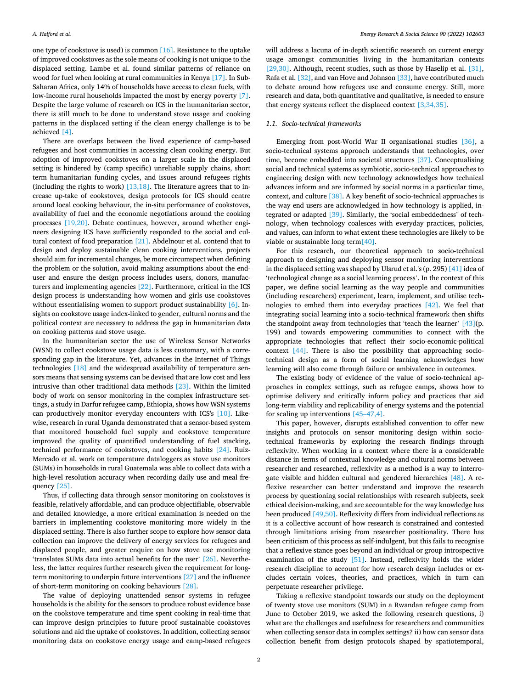one type of cookstove is used) is common [\[16\].](#page-8-0) Resistance to the uptake of improved cookstoves as the sole means of cooking is not unique to the displaced setting. Lambe et al. found similar patterns of reliance on wood for fuel when looking at rural communities in Kenya [\[17\].](#page-8-0) In Sub-Saharan Africa, only 14% of households have access to clean fuels, with low-income rural households impacted the most by energy poverty [\[7\]](#page-7-0). Despite the large volume of research on ICS in the humanitarian sector, there is still much to be done to understand stove usage and cooking patterns in the displaced setting if the clean energy challenge is to be achieved [\[4\].](#page-7-0)

There are overlaps between the lived experience of camp-based refugees and host communities in accessing clean cooking energy. But adoption of improved cookstoves on a larger scale in the displaced setting is hindered by (camp specific) unreliable supply chains, short term humanitarian funding cycles, and issues around refugees rights (including the rights to work)  $[13,18]$ . The literature agrees that to increase up-take of cookstoves, design protocols for ICS should centre around local cooking behaviour, the in-situ performance of cookstoves, availability of fuel and the economic negotiations around the cooking processes [\[19,20\].](#page-8-0) Debate continues, however, around whether engineers designing ICS have sufficiently responded to the social and cultural context of food preparation [\[21\]](#page-8-0). Abdelnour et al. contend that to design and deploy sustainable clean cooking interventions, projects should aim for incremental changes, be more circumspect when defining the problem or the solution, avoid making assumptions about the enduser and ensure the design process includes users, donors, manufacturers and implementing agencies [\[22\].](#page-8-0) Furthermore, critical in the ICS design process is understanding how women and girls use cookstoves without essentialising women to support product sustainability [\[6\]](#page-7-0). Insights on cookstove usage index-linked to gender, cultural norms and the political context are necessary to address the gap in humanitarian data on cooking patterns and stove usage.

In the humanitarian sector the use of Wireless Sensor Networks (WSN) to collect cookstove usage data is less customary, with a corresponding gap in the literature. Yet, advances in the Internet of Things technologies [\[18\]](#page-8-0) and the widespread availability of temperature sensors means that sensing systems can be devised that are low cost and less intrusive than other traditional data methods [\[23\].](#page-8-0) Within the limited body of work on sensor monitoring in the complex infrastructure settings, a study in Darfur refugee camp, Ethiopia, shows how WSN systems can productively monitor everyday encounters with ICS's [\[10\].](#page-7-0) Likewise, research in rural Uganda demonstrated that a sensor-based system that monitored household fuel supply and cookstove temperature improved the quality of quantified understanding of fuel stacking, technical performance of cookstoves, and cooking habits [\[24\]](#page-8-0). Ruiz-Mercado et al. work on temperature dataloggers as stove use monitors (SUMs) in households in rural Guatemala was able to collect data with a high-level resolution accuracy when recording daily use and meal frequency [\[25\].](#page-8-0)

Thus, if collecting data through sensor monitoring on cookstoves is feasible, relatively affordable, and can produce objectifiable, observable and detailed knowledge, a more critical examination is needed on the barriers in implementing cookstove monitoring more widely in the displaced setting. There is also further scope to explore how sensor data collection can improve the delivery of energy services for refugees and displaced people, and greater enquire on how stove use monitoring 'translates SUMs data into actual benefits for the user' [\[26\]](#page-8-0). Nevertheless, the latter requires further research given the requirement for longterm monitoring to underpin future interventions [\[27\]](#page-8-0) and the influence of short-term monitoring on cooking behaviours [\[28\]](#page-8-0).

The value of deploying unattended sensor systems in refugee households is the ability for the sensors to produce robust evidence base on the cookstove temperature and time spent cooking in real-time that can improve design principles to future proof sustainable cookstoves solutions and aid the uptake of cookstoves. In addition, collecting sensor monitoring data on cookstove energy usage and camp-based refugees

will address a lacuna of in-depth scientific research on current energy usage amongst communities living in the humanitarian contexts [\[29,30\].](#page-8-0) Although, recent studies, such as those by Haselip et al. [\[31\]](#page-8-0), Rafa et al. [\[32\],](#page-8-0) and van Hove and Johnson [\[33\]](#page-8-0), have contributed much to debate around how refugees use and consume energy. Still, more research and data, both quantitative and qualitative, is needed to ensure that energy systems reflect the displaced context [\[3,34,35\].](#page-7-0)

## *1.1. Socio-technical frameworks*

Emerging from post-World War II organisational studies [\[36\]](#page-8-0), a socio-technical systems approach understands that technologies, over time, become embedded into societal structures [\[37\]](#page-8-0). Conceptualising social and technical systems as symbiotic, socio-technical approaches to engineering design with new technology acknowledges how technical advances inform and are informed by social norms in a particular time, context, and culture [\[38\]](#page-8-0). A key benefit of socio-technical approaches is the way end users are acknowledged in how technology is applied, integrated or adapted [\[39\].](#page-8-0) Similarly, the 'social embeddedness' of technology, when technology coalesces with everyday practices, policies, and values, can inform to what extent these technologies are likely to be viable or sustainable long ter[m\[40\].](#page-8-0)

For this research, our theoretical approach to socio-technical approach to designing and deploying sensor monitoring interventions in the displaced setting was shaped by Ulsrud et al.'s (p. 295) [\[41\]](#page-8-0) idea of 'technological change as a social learning process'. In the context of this paper, we define social learning as the way people and communities (including researchers) experiment, learn, implement, and utilise technologies to embed them into everyday practices [\[42\]](#page-8-0). We feel that integrating social learning into a socio-technical framework then shifts the standpoint away from technologies that 'teach the learner' [\[43\]](#page-8-0)(p. 199) and towards empowering communities to connect with the appropriate technologies that reflect their socio-economic-political context [\[44\].](#page-8-0) There is also the possibility that approaching sociotechnical design as a form of social learning acknowledges how learning will also come through failure or ambivalence in outcomes.

The existing body of evidence of the value of socio-technical approaches in complex settings, such as refugee camps, shows how to optimise delivery and critically inform policy and practices that aid long-term viability and replicability of energy systems and the potential for scaling up interventions [45–[47,4\]](#page-8-0).

This paper, however, disrupts established convention to offer new insights and protocols on sensor monitoring design within sociotechnical frameworks by exploring the research findings through reflexivity. When working in a context where there is a considerable distance in terms of contextual knowledge and cultural norms between researcher and researched, reflexivity as a method is a way to interrogate visible and hidden cultural and gendered hierarchies [\[48\]](#page-8-0). A reflexive researcher can better understand and improve the research process by questioning social relationships with research subjects, seek ethical decision-making, and are accountable for the way knowledge has been produced [\[49,50\]](#page-8-0). Reflexivity differs from individual reflections as it is a collective account of how research is constrained and contested through limitations arising from researcher positionality. There has been criticism of this process as self-indulgent, but this fails to recognise that a reflexive stance goes beyond an individual or group introspective examination of the study [\[51\]](#page-8-0). Instead, reflexivity holds the wider research discipline to account for how research design includes or excludes certain voices, theories, and practices, which in turn can perpetuate researcher privilege.

Taking a reflexive standpoint towards our study on the deployment of twenty stove use monitors (SUM) in a Rwandan refugee camp from June to October 2019, we asked the following research questions, i) what are the challenges and usefulness for researchers and communities when collecting sensor data in complex settings? ii) how can sensor data collection benefit from design protocols shaped by spatiotemporal,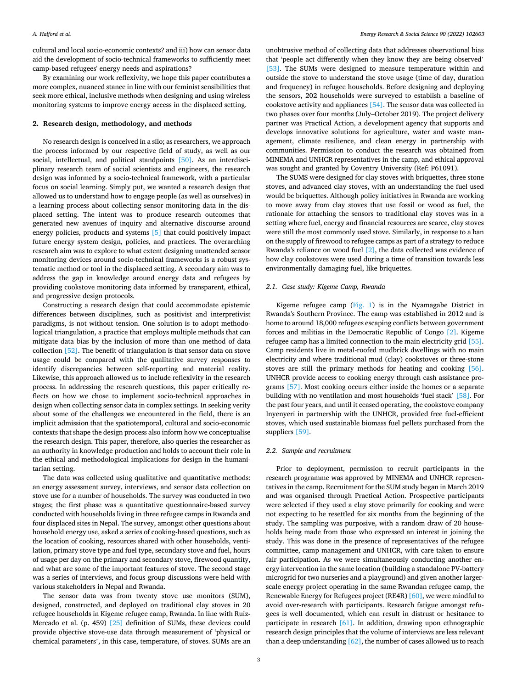cultural and local socio-economic contexts? and iii) how can sensor data aid the development of socio-technical frameworks to sufficiently meet camp-based refugees' energy needs and aspirations?

By examining our work reflexivity, we hope this paper contributes a more complex, nuanced stance in line with our feminist sensibilities that seek more ethical, inclusive methods when designing and using wireless monitoring systems to improve energy access in the displaced setting.

#### **2. Research design, methodology, and methods**

No research design is conceived in a silo; as researchers, we approach the process informed by our respective field of study, as well as our social, intellectual, and political standpoints [\[50\]](#page-8-0). As an interdisciplinary research team of social scientists and engineers, the research design was informed by a socio-technical framework, with a particular focus on social learning. Simply put, we wanted a research design that allowed us to understand how to engage people (as well as ourselves) in a learning process about collecting sensor monitoring data in the displaced setting. The intent was to produce research outcomes that generated new avenues of inquiry and alternative discourse around energy policies, products and systems [\[5\]](#page-7-0) that could positively impact future energy system design, policies, and practices. The overarching research aim was to explore to what extent designing unattended sensor monitoring devices around socio-technical frameworks is a robust systematic method or tool in the displaced setting. A secondary aim was to address the gap in knowledge around energy data and refugees by providing cookstove monitoring data informed by transparent, ethical, and progressive design protocols.

Constructing a research design that could accommodate epistemic differences between disciplines, such as positivist and interpretivist paradigms, is not without tension. One solution is to adopt methodological triangulation, a practice that employs multiple methods that can mitigate data bias by the inclusion of more than one method of data collection [\[52\].](#page-8-0) The benefit of triangulation is that sensor data on stove usage could be compared with the qualitative survey responses to identify discrepancies between self-reporting and material reality. Likewise, this approach allowed us to include reflexivity in the research process. In addressing the research questions, this paper critically reflects on how we chose to implement socio-technical approaches in design when collecting sensor data in complex settings. In seeking verity about some of the challenges we encountered in the field, there is an implicit admission that the spatiotemporal, cultural and socio-economic contexts that shape the design process also inform how we conceptualise the research design. This paper, therefore, also queries the researcher as an authority in knowledge production and holds to account their role in the ethical and methodological implications for design in the humanitarian setting.

The data was collected using qualitative and quantitative methods: an energy assessment survey, interviews, and sensor data collection on stove use for a number of households. The survey was conducted in two stages; the first phase was a quantitative questionnaire-based survey conducted with households living in three refugee camps in Rwanda and four displaced sites in Nepal. The survey, amongst other questions about household energy use, asked a series of cooking-based questions, such as the location of cooking, resources shared with other households, ventilation, primary stove type and fuel type, secondary stove and fuel, hours of usage per day on the primary and secondary stove, firewood quantity, and what are some of the important features of stove. The second stage was a series of interviews, and focus group discussions were held with various stakeholders in Nepal and Rwanda.

The sensor data was from twenty stove use monitors (SUM), designed, constructed, and deployed on traditional clay stoves in 20 refugee households in Kigeme refugee camp, Rwanda. In line with Ruiz-Mercado et al. (p. 459) [\[25\]](#page-8-0) definition of SUMs, these devices could provide objective stove-use data through measurement of 'physical or chemical parameters', in this case, temperature, of stoves. SUMs are an

unobtrusive method of collecting data that addresses observational bias that 'people act differently when they know they are being observed' [\[53\]](#page-8-0). The SUMs were designed to measure temperature within and outside the stove to understand the stove usage (time of day, duration and frequency) in refugee households. Before designing and deploying the sensors, 202 households were surveyed to establish a baseline of cookstove activity and appliances [\[54\]](#page-8-0). The sensor data was collected in two phases over four months (July–October 2019). The project delivery partner was Practical Action, a development agency that supports and develops innovative solutions for agriculture, water and waste management, climate resilience, and clean energy in partnership with communities. Permission to conduct the research was obtained from MINEMA and UNHCR representatives in the camp, and ethical approval was sought and granted by Coventry University (Ref: P61091).

The SUMS were designed for clay stoves with briquettes, three stone stoves, and advanced clay stoves, with an understanding the fuel used would be briquettes. Although policy initiatives in Rwanda are working to move away from clay stoves that use fossil or wood as fuel, the rationale for attaching the sensors to traditional clay stoves was in a setting where fuel, energy and financial resources are scarce, clay stoves were still the most commonly used stove. Similarly, in response to a ban on the supply of firewood to refugee camps as part of a strategy to reduce Rwanda's reliance on wood fuel [\[2\]](#page-7-0), the data collected was evidence of how clay cookstoves were used during a time of transition towards less environmentally damaging fuel, like briquettes.

## *2.1. Case study: Kigeme Camp, Rwanda*

Kigeme refugee camp ([Fig. 1](#page-3-0)) is in the Nyamagabe District in Rwanda's Southern Province. The camp was established in 2012 and is home to around 18,000 refugees escaping conflicts between government forces and militias in the Democratic Republic of Congo [\[2\].](#page-7-0) Kigeme refugee camp has a limited connection to the main electricity grid [\[55\]](#page-8-0). Camp residents live in metal-roofed mudbrick dwellings with no main electricity and where traditional mud (clay) cookstoves or three-stone stoves are still the primary methods for heating and cooking [\[56\]](#page-8-0). UNHCR provide access to cooking energy through cash assistance programs [\[57\]](#page-8-0). Most cooking occurs either inside the homes or a separate building with no ventilation and most households 'fuel stack' [\[58\]](#page-8-0). For the past four years, and until it ceased operating, the cookstove company Inyenyeri in partnership with the UNHCR, provided free fuel-efficient stoves, which used sustainable biomass fuel pellets purchased from the suppliers [\[59\]](#page-8-0).

#### *2.2. Sample and recruitment*

Prior to deployment, permission to recruit participants in the research programme was approved by MINEMA and UNHCR representatives in the camp. Recruitment for the SUM study began in March 2019 and was organised through Practical Action. Prospective participants were selected if they used a clay stove primarily for cooking and were not expecting to be resettled for six months from the beginning of the study. The sampling was purposive, with a random draw of 20 households being made from those who expressed an interest in joining the study. This was done in the presence of representatives of the refugee committee, camp management and UNHCR, with care taken to ensure fair participation. As we were simultaneously conducting another energy intervention in the same location (building a standalone PV-battery microgrid for two nurseries and a playground) and given another largerscale energy project operating in the same Rwandan refugee camp, the Renewable Energy for Refugees project (RE4R) [\[60\],](#page-8-0) we were mindful to avoid over-research with participants. Research fatigue amongst refugees is well documented, which can result in distrust or hesitance to participate in research [\[61\].](#page-8-0) In addition, drawing upon ethnographic research design principles that the volume of interviews are less relevant than a deep understanding [\[62\]](#page-8-0), the number of cases allowed us to reach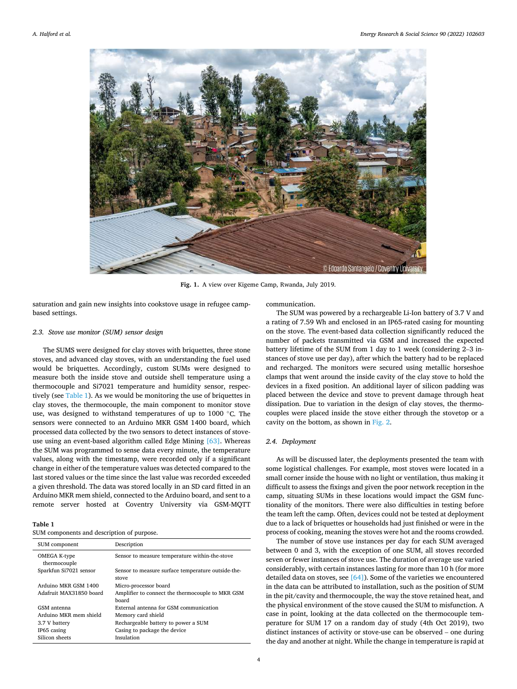<span id="page-3-0"></span>

**Fig. 1.** A view over Kigeme Camp, Rwanda, July 2019.

saturation and gain new insights into cookstove usage in refugee campbased settings.

#### *2.3. Stove use monitor (SUM) sensor design*

The SUMS were designed for clay stoves with briquettes, three stone stoves, and advanced clay stoves, with an understanding the fuel used would be briquettes. Accordingly, custom SUMs were designed to measure both the inside stove and outside shell temperature using a thermocouple and Si7021 temperature and humidity sensor, respectively (see Table 1). As we would be monitoring the use of briquettes in clay stoves, the thermocouple, the main component to monitor stove use, was designed to withstand temperatures of up to 1000 °C. The sensors were connected to an Arduino MKR GSM 1400 board, which processed data collected by the two sensors to detect instances of stoveuse using an event-based algorithm called Edge Mining [\[63\].](#page-8-0) Whereas the SUM was programmed to sense data every minute, the temperature values, along with the timestamp, were recorded only if a significant change in either of the temperature values was detected compared to the last stored values or the time since the last value was recorded exceeded a given threshold. The data was stored locally in an SD card fitted in an Arduino MKR mem shield, connected to the Arduino board, and sent to a remote server hosted at Coventry University via GSM-MQTT

**Table 1** 

| SUM components and description of purpose. |  |  |
|--------------------------------------------|--|--|
|--------------------------------------------|--|--|

| SUM component                | Description                                                 |
|------------------------------|-------------------------------------------------------------|
| OMEGA K-type<br>thermocouple | Sensor to measure temperature within-the-stove              |
| Sparkfun Si7021 sensor       | Sensor to measure surface temperature outside-the-<br>stove |
| Arduino MKR GSM 1400         | Micro-processor board                                       |
| Adafruit MAX31850 board      | Amplifier to connect the thermocouple to MKR GSM<br>board   |
| GSM antenna                  | External antenna for GSM communication                      |
| Arduino MKR mem shield       | Memory card shield                                          |
| 3.7 V battery                | Rechargeable battery to power a SUM                         |
| IP65 casing                  | Casing to package the device                                |
| Silicon sheets               | Insulation                                                  |

communication.

The SUM was powered by a rechargeable Li-Ion battery of 3.7 V and a rating of 7.59 Wh and enclosed in an IP65-rated casing for mounting on the stove. The event-based data collection significantly reduced the number of packets transmitted via GSM and increased the expected battery lifetime of the SUM from 1 day to 1 week (considering 2–3 instances of stove use per day), after which the battery had to be replaced and recharged. The monitors were secured using metallic horseshoe clamps that went around the inside cavity of the clay stove to hold the devices in a fixed position. An additional layer of silicon padding was placed between the device and stove to prevent damage through heat dissipation. Due to variation in the design of clay stoves, the thermocouples were placed inside the stove either through the stovetop or a cavity on the bottom, as shown in [Fig. 2](#page-4-0).

## *2.4. Deployment*

As will be discussed later, the deployments presented the team with some logistical challenges. For example, most stoves were located in a small corner inside the house with no light or ventilation, thus making it difficult to assess the fixings and given the poor network reception in the camp, situating SUMs in these locations would impact the GSM functionality of the monitors. There were also difficulties in testing before the team left the camp. Often, devices could not be tested at deployment due to a lack of briquettes or households had just finished or were in the process of cooking, meaning the stoves were hot and the rooms crowded.

The number of stove use instances per day for each SUM averaged between 0 and 3, with the exception of one SUM, all stoves recorded seven or fewer instances of stove use. The duration of average use varied considerably, with certain instances lasting for more than 10 h (for more detailed data on stoves, see  $[64]$ ). Some of the varieties we encountered in the data can be attributed to installation, such as the position of SUM in the pit/cavity and thermocouple, the way the stove retained heat, and the physical environment of the stove caused the SUM to misfunction. A case in point, looking at the data collected on the thermocouple temperature for SUM 17 on a random day of study (4th Oct 2019), two distinct instances of activity or stove-use can be observed – one during the day and another at night. While the change in temperature is rapid at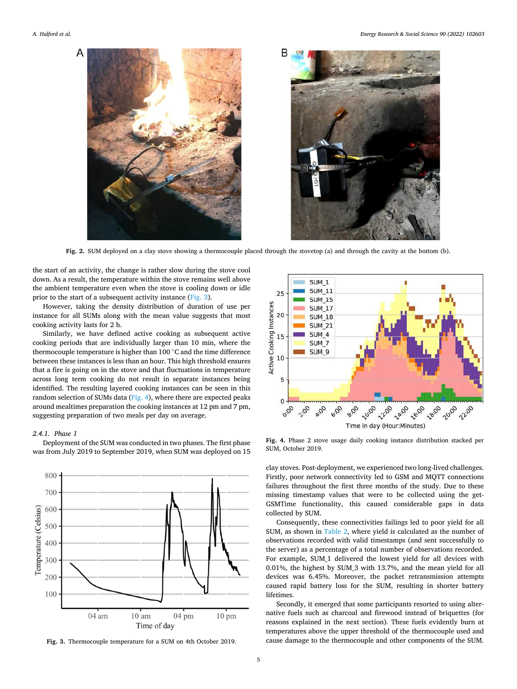<span id="page-4-0"></span>

**Fig. 2.** SUM deployed on a clay stove showing a thermocouple placed through the stovetop (a) and through the cavity at the bottom (b).

the start of an activity, the change is rather slow during the stove cool down. As a result, the temperature within the stove remains well above the ambient temperature even when the stove is cooling down or idle prior to the start of a subsequent activity instance (Fig. 3).

However, taking the density distribution of duration of use per instance for all SUMs along with the mean value suggests that most cooking activity lasts for 2 h.

Similarly, we have defined active cooking as subsequent active cooking periods that are individually larger than 10 min, where the thermocouple temperature is higher than 100 ◦C and the time difference between these instances is less than an hour. This high threshold ensures that a fire is going on in the stove and that fluctuations in temperature across long term cooking do not result in separate instances being identified. The resulting layered cooking instances can be seen in this random selection of SUMs data (Fig. 4), where there are expected peaks around mealtimes preparation the cooking instances at 12 pm and 7 pm, suggesting preparation of two meals per day on average.

#### *2.4.1. Phase 1*

Deployment of the SUM was conducted in two phases. The first phase was from July 2019 to September 2019, when SUM was deployed on 15



**Fig. 3.** Thermocouple temperature for a SUM on 4th October 2019.



**Fig. 4.** Phase 2 stove usage daily cooking instance distribution stacked per SUM, October 2019.

clay stoves. Post-deployment, we experienced two long-lived challenges. Firstly, poor network connectivity led to GSM and MQTT connections failures throughout the first three months of the study. Due to these missing timestamp values that were to be collected using the get-GSMTime functionality, this caused considerable gaps in data collected by SUM.

Consequently, these connectivities failings led to poor yield for all SUM, as shown in [Table 2](#page-5-0), where yield is calculated as the number of observations recorded with valid timestamps (and sent successfully to the server) as a percentage of a total number of observations recorded. For example, SUM\_1 delivered the lowest yield for all devices with 0.01%, the highest by SUM\_3 with 13.7%, and the mean yield for all devices was 6.45%. Moreover, the packet retransmission attempts caused rapid battery loss for the SUM, resulting in shorter battery lifetimes.

Secondly, it emerged that some participants resorted to using alternative fuels such as charcoal and firewood instead of briquettes (for reasons explained in the next section). These fuels evidently burn at temperatures above the upper threshold of the thermocouple used and cause damage to the thermocouple and other components of the SUM.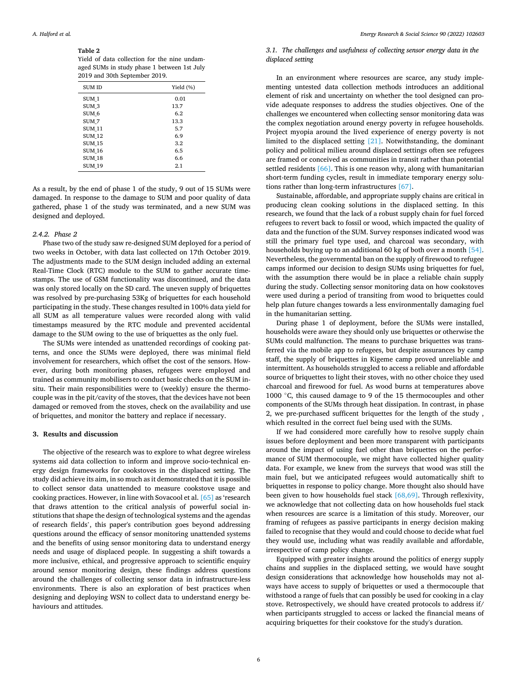## <span id="page-5-0"></span>**Table 2**

Yield of data collection for the nine undamaged SUMs in study phase 1 between 1st July 2019 and 30th September 2019.

| <b>SUM ID</b>    | Yield $(\% )$ |
|------------------|---------------|
| SUM <sub>1</sub> | 0.01          |
| SUM <sub>3</sub> | 13.7          |
| SUM <sub>6</sub> | 6.2           |
| SUM <sub>7</sub> | 13.3          |
| <b>SUM 11</b>    | 5.7           |
| <b>SUM 12</b>    | 6.9           |
| <b>SUM 15</b>    | 3.2           |
| <b>SUM 16</b>    | 6.5           |
| <b>SUM 18</b>    | 6.6           |
| <b>SUM 19</b>    | 2.1           |

As a result, by the end of phase 1 of the study, 9 out of 15 SUMs were damaged. In response to the damage to SUM and poor quality of data gathered, phase 1 of the study was terminated, and a new SUM was designed and deployed.

## *2.4.2. Phase 2*

Phase two of the study saw re-designed SUM deployed for a period of two weeks in October, with data last collected on 17th October 2019. The adjustments made to the SUM design included adding an external Real-Time Clock (RTC) module to the SUM to gather accurate timestamps. The use of GSM functionality was discontinued, and the data was only stored locally on the SD card. The uneven supply of briquettes was resolved by pre-purchasing 53Kg of briquettes for each household participating in the study. These changes resulted in 100% data yield for all SUM as all temperature values were recorded along with valid timestamps measured by the RTC module and prevented accidental damage to the SUM owing to the use of briquettes as the only fuel.

The SUMs were intended as unattended recordings of cooking patterns, and once the SUMs were deployed, there was minimal field involvement for researchers, which offset the cost of the sensors. However, during both monitoring phases, refugees were employed and trained as community mobilisers to conduct basic checks on the SUM insitu. Their main responsibilities were to (weekly) ensure the thermocouple was in the pit/cavity of the stoves, that the devices have not been damaged or removed from the stoves, check on the availability and use of briquettes, and monitor the battery and replace if necessary.

#### **3. Results and discussion**

The objective of the research was to explore to what degree wireless systems aid data collection to inform and improve socio-technical energy design frameworks for cookstoves in the displaced setting. The study did achieve its aim, in so much as it demonstrated that it is possible to collect sensor data unattended to measure cookstove usage and cooking practices. However, in line with Sovacool et al. [\[65\]](#page-8-0) as 'research that draws attention to the critical analysis of powerful social institutions that shape the design of technological systems and the agendas of research fields', this paper's contribution goes beyond addressing questions around the efficacy of sensor monitoring unattended systems and the benefits of using sensor monitoring data to understand energy needs and usage of displaced people. In suggesting a shift towards a more inclusive, ethical, and progressive approach to scientific enquiry around sensor monitoring design, these findings address questions around the challenges of collecting sensor data in infrastructure-less environments. There is also an exploration of best practices when designing and deploying WSN to collect data to understand energy behaviours and attitudes.

# *3.1. The challenges and usefulness of collecting sensor energy data in the displaced setting*

In an environment where resources are scarce, any study implementing untested data collection methods introduces an additional element of risk and uncertainty on whether the tool designed can provide adequate responses to address the studies objectives. One of the challenges we encountered when collecting sensor monitoring data was the complex negotiation around energy poverty in refugee households. Project myopia around the lived experience of energy poverty is not limited to the displaced setting [\[21\]](#page-8-0). Notwithstanding, the dominant policy and political milieu around displaced settings often see refugees are framed or conceived as communities in transit rather than potential settled residents [\[66\]](#page-8-0). This is one reason why, along with humanitarian short-term funding cycles, result in immediate temporary energy solutions rather than long-term infrastructures [\[67\].](#page-8-0)

Sustainable, affordable, and appropriate supply chains are critical in producing clean cooking solutions in the displaced setting. In this research, we found that the lack of a robust supply chain for fuel forced refugees to revert back to fossil or wood, which impacted the quality of data and the function of the SUM. Survey responses indicated wood was still the primary fuel type used, and charcoal was secondary, with households buying up to an additional 60 kg of both over a month [\[54\]](#page-8-0). Nevertheless, the governmental ban on the supply of firewood to refugee camps informed our decision to design SUMs using briquettes for fuel, with the assumption there would be in place a reliable chain supply during the study. Collecting sensor monitoring data on how cookstoves were used during a period of transiting from wood to briquettes could help plan future changes towards a less environmentally damaging fuel in the humanitarian setting.

During phase 1 of deployment, before the SUMs were installed, households were aware they should only use briquettes or otherwise the SUMs could malfunction. The means to purchase briquettes was transferred via the mobile app to refugees, but despite assurances by camp staff, the supply of briquettes in Kigeme camp proved unreliable and intermittent. As households struggled to access a reliable and affordable source of briquettes to light their stoves, with no other choice they used charcoal and firewood for fuel. As wood burns at temperatures above 1000 ◦C, this caused damage to 9 of the 15 thermocouples and other components of the SUMs through heat dissipation. In contrast, in phase 2, we pre-purchased sufficent briquettes for the length of the study , which resulted in the correct fuel being used with the SUMs.

If we had considered more carefully how to resolve supply chain issues before deployment and been more transparent with participants around the impact of using fuel other than briquettes on the performance of SUM thermocouple, we might have collected higher quality data. For example, we knew from the surveys that wood was still the main fuel, but we anticipated refugees would automatically shift to briquettes in response to policy change. More thought also should have been given to how households fuel stack [\[68,69\].](#page-8-0) Through reflexivity, we acknowledge that not collecting data on how households fuel stack when resources are scarce is a limitation of this study. Moreover, our framing of refugees as passive participants in energy decision making failed to recognise that they would and could choose to decide what fuel they would use, including what was readily available and affordable, irrespective of camp policy change.

Equipped with greater insights around the politics of energy supply chains and supplies in the displaced setting, we would have sought design considerations that acknowledge how households may not always have access to supply of briquettes or used a thermocouple that withstood a range of fuels that can possibly be used for cooking in a clay stove. Retrospectively, we should have created protocols to address if/ when participants struggled to access or lacked the financial means of acquiring briquettes for their cookstove for the study's duration.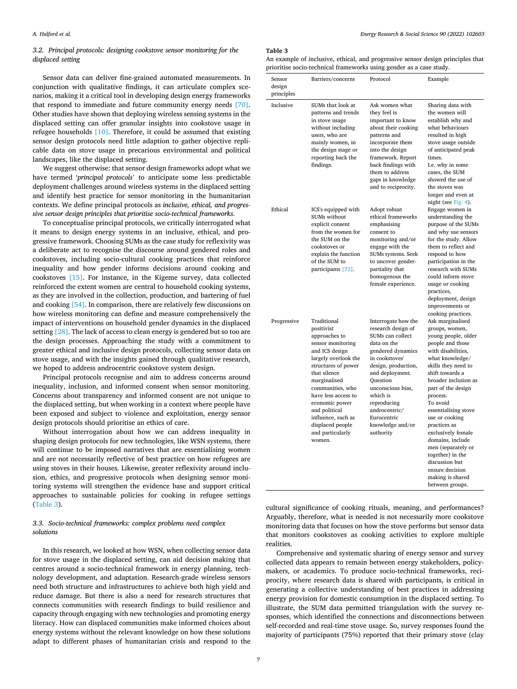# *3.2. Principal protocols: designing cookstove sensor monitoring for the displaced setting*

Sensor data can deliver fine-grained automated measurements. In conjunction with qualitative findings, it can articulate complex scenarios, making it a critical tool in developing design energy frameworks that respond to immediate and future community energy needs [\[70\]](#page-8-0). Other studies have shown that deploying wireless sensing systems in the displaced setting can offer granular insights into cookstove usage in refugee households [\[10\].](#page-7-0) Therefore, it could be assumed that existing sensor design protocols need little adaption to gather objective replicable data on stove usage in precarious environmental and political landscapes, like the displaced setting.

We suggest otherwise: that sensor design frameworks adopt what we have termed '*principal protocols*' to anticipate some less predictable deployment challenges around wireless systems in the displaced setting and identify best practice for sensor monitoring in the humanitarian contexts. We define principal protocols as *inclusive, ethical, and progressive sensor design principles that prioritise socio-technical frameworks*.

To conceptualise principal protocols, we critically interrogated what it means to design energy systems in an inclusive, ethical, and progressive framework. Choosing SUMs as the case study for reflexivity was a deliberate act to recognise the discourse around gendered roles and cookstoves, including socio-cultural cooking practices that reinforce inequality and how gender informs decisions around cooking and cookstoves [\[15\]](#page-8-0). For instance, in the Kigeme survey, data collected reinforced the extent women are central to household cooking systems, as they are involved in the collection, production, and bartering of fuel and cooking [\[54\].](#page-8-0) In comparison, there are relatively few discussions on how wireless monitoring can define and measure comprehensively the impact of interventions on household gender dynamics in the displaced setting [\[28\].](#page-8-0) The lack of access to clean energy is gendered but so too are the design processes. Approaching the study with a commitment to greater ethical and inclusive design protocols, collecting sensor data on stove usage, and with the insights gained through qualitative research, we hoped to address androcentric cookstove system design.

Principal protocols recognise and aim to address concerns around inequality, inclusion, and informed consent when sensor monitoring. Concerns about transparency and informed consent are not unique to the displaced setting, but when working in a context where people have been exposed and subject to violence and exploitation, energy sensor design protocols should prioritise an ethics of care.

Without interrogation about how we can address inequality in shaping design protocols for new technologies, like WSN systems, there will continue to be imposed narratives that are essentialising women and are not necessarily reflective of best practice on how refugees are using stoves in their houses. Likewise, greater reflexivity around inclusion, ethics, and progressive protocols when designing sensor monitoring systems will strengthen the evidence base and support critical approaches to sustainable policies for cooking in refugee settings (Table 3).

# *3.3. Socio-technical frameworks: complex problems need complex solutions*

In this research, we looked at how WSN, when collecting sensor data for stove usage in the displaced setting, can aid decision making that centres around a socio-technical framework in energy planning, technology development, and adaptation. Research-grade wireless sensors need both structure and infrastructures to achieve both high yield and reduce damage. But there is also a need for research structures that connects communities with research findings to build resilience and capacity through engaging with new technologies and promoting energy literacy. How can displaced communities make informed choices about energy systems without the relevant knowledge on how these solutions adapt to different phases of humanitarian crisis and respond to the

**Table 3** 

An example of inclusive, ethical, and progressive sensor design principles that prioritise socio-technical frameworks using gender as a case study.

| Sensor               | riornise socio technicia numeworks asing genuer as a case staaj.<br>Barriers/concerns                                                                                                                                                                                                                                  | Protocol                                                                                                                                                                                                                                                                                   | Example                                                                                                                                                                                                                                                                                                                                                                                                                                                          |
|----------------------|------------------------------------------------------------------------------------------------------------------------------------------------------------------------------------------------------------------------------------------------------------------------------------------------------------------------|--------------------------------------------------------------------------------------------------------------------------------------------------------------------------------------------------------------------------------------------------------------------------------------------|------------------------------------------------------------------------------------------------------------------------------------------------------------------------------------------------------------------------------------------------------------------------------------------------------------------------------------------------------------------------------------------------------------------------------------------------------------------|
| design<br>principles |                                                                                                                                                                                                                                                                                                                        |                                                                                                                                                                                                                                                                                            |                                                                                                                                                                                                                                                                                                                                                                                                                                                                  |
| Inclusive            | SUMs that look at<br>patterns and trends<br>in stove usage<br>without including<br>users, who are<br>mainly women, in<br>the design stage or<br>reporting back the<br>findings.                                                                                                                                        | Ask women what<br>they feel is<br>important to know<br>about their cooking<br>patterns and<br>incorporate them<br>into the design<br>framework. Report<br>back findings with<br>them to address<br>gaps in knowledge<br>and to reciprocity.                                                | Sharing data with<br>the women will<br>establish why and<br>what behaviours<br>resulted in high<br>stove usage outside<br>of anticipated peak<br>times.<br>I.e. why in some<br>cases, the SUM<br>showed the use of<br>the stoves was<br>longer and even at<br>night (see Fig. 4).                                                                                                                                                                                |
| Ethical              | ICS's equipped with<br>SUMs without<br>explicit consent<br>from the women for<br>the SUM on the<br>cookstoves or<br>explain the function<br>of the SUM to<br>participants [72].                                                                                                                                        | Adopt robust<br>ethical frameworks<br>emphasising<br>consent to<br>monitoring and/or<br>engage with the<br>SUMs systems. Seek<br>to uncover gender-<br>partiality that<br>homogenous the<br>female experience.                                                                             | Engage women in<br>understanding the<br>purpose of the SUMs<br>and why use sensors<br>for the study. Allow<br>them to reflect and<br>respond to how<br>participation in the<br>research with SUMs<br>could inform stove<br>usage or cooking<br>practices,<br>deployment, design<br>improvements or<br>cooking practices.                                                                                                                                         |
| Progressive          | Traditional<br>positivist<br>approaches to<br>sensor monitoring<br>and ICS design<br>largely overlook the<br>structures of power<br>that silence<br>marginalised<br>communities, who<br>have less access to<br>economic power<br>and political<br>influence, such as<br>displaced people<br>and particularly<br>women. | Interrogate how the<br>research design of<br>SUMs can collect<br>data on the<br>gendered dynamics<br>in cookstoves'<br>design, production,<br>and deployment.<br>Question<br>unconscious bias,<br>which is<br>reproducing<br>androcentric/<br>Eurocentric<br>knowledge and/or<br>authority | Ask marginalised<br>groups, women,<br>young people, older<br>people and those<br>with disabilities,<br>what knowledge/<br>skills they need to<br>shift towards a<br>broader inclusion as<br>part of the design<br>process.<br>To avoid<br>essentialising stove<br>use or cooking<br>practices as<br>exclusively female<br>domains, include<br>men (separately or<br>together) in the<br>discussion but<br>ensure decision<br>making is shared<br>between groups. |

cultural significance of cooking rituals, meaning, and performances? Arguably, therefore, what is needed is not necessarily more cookstove monitoring data that focuses on how the stove performs but sensor data that monitors cookstoves as cooking activities to explore multiple realities.

Comprehensive and systematic sharing of energy sensor and survey collected data appears to remain between energy stakeholders, policymakers, or academics. To produce socio-technical frameworks, reciprocity, where research data is shared with participants, is critical in generating a collective understanding of best practices in addressing energy provision for domestic consumption in the displaced setting. To illustrate, the SUM data permitted triangulation with the survey responses, which identified the connections and disconnections between self-recorded and real-time stove usage. So, survey responses found the majority of participants (75%) reported that their primary stove (clay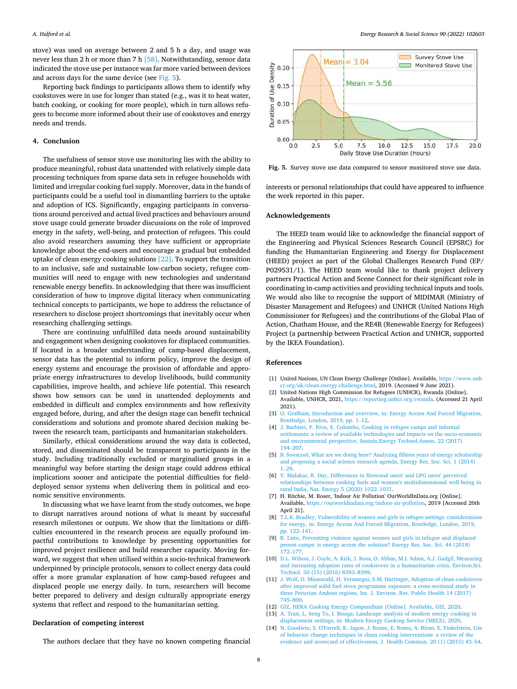<span id="page-7-0"></span>stove) was used on average between 2 and 5 h a day, and usage was never less than 2 h or more than 7 h [\[58\].](#page-8-0) Notwithstanding, sensor data indicated the stove use per instance was far more varied between devices and across days for the same device (see Fig. 5).

Reporting back findings to participants allows them to identify why cookstoves were in use for longer than stated (e.g., was it to heat water, batch cooking, or cooking for more people), which in turn allows refugees to become more informed about their use of cookstoves and energy needs and trends.

#### **4. Conclusion**

The usefulness of sensor stove use monitoring lies with the ability to produce meaningful, robust data unattended with relatively simple data processing techniques from sparse data sets in refugee households with limited and irregular cooking fuel supply. Moreover, data in the hands of participants could be a useful tool in dismantling barriers to the uptake and adoption of ICS. Significantly, engaging participants in conversations around perceived and actual lived practices and behaviours around stove usage could generate broader discussions on the role of improved energy in the safety, well-being, and protection of refugees. This could also avoid researchers assuming they have sufficient or appropriate knowledge about the end-users and encourage a gradual but embedded uptake of clean energy cooking solutions [\[22\].](#page-8-0) To support the transition to an inclusive, safe and sustainable low-carbon society, refugee communities will need to engage with new technologies and understand renewable energy benefits. In acknowledging that there was insufficient consideration of how to improve digital literacy when communicating technical concepts to participants, we hope to address the reluctance of researchers to disclose project shortcomings that inevitably occur when researching challenging settings.

There are continuing unfulfilled data needs around sustainability and engagement when designing cookstoves for displaced communities. If located in a broader understanding of camp-based displacement, sensor data has the potential to inform policy, improve the design of energy systems and encourage the provision of affordable and appropriate energy infrastructures to develop livelihoods, build community capabilities, improve health, and achieve life potential. This research shows how sensors can be used in unattended deployments and embedded in difficult and complex environments and how reflexivity engaged before, during, and after the design stage can benefit technical considerations and solutions and promote shared decision making between the research team, participants and humanitarian stakeholders.

Similarly, ethical considerations around the way data is collected, stored, and disseminated should be transparent to participants in the study. Including traditionally excluded or marginalised groups in a meaningful way before starting the design stage could address ethical implications sooner and anticipate the potential difficulties for fielddeployed sensor systems when delivering them in political and economic sensitive environments.

In discussing what we have learnt from the study outcomes, we hope to disrupt narratives around notions of what is meant by successful research milestones or outputs. We show that the limitations or difficulties encountered in the research process are equally profound impactful contributions to knowledge by presenting opportunities for improved project resilience and build researcher capacity. Moving forward, we suggest that when utilised within a socio-technical framework underpinned by principle protocols, sensors to collect energy data could offer a more granular explanation of how camp-based refugees and displaced people use energy daily. In turn, researchers will become better prepared to delivery and design culturally appropriate energy systems that reflect and respond to the humanitarian setting.

#### **Declaration of competing interest**



**Fig. 5.** Survey stove use data compared to sensor monitored stove use data.

interests or personal relationships that could have appeared to influence the work reported in this paper.

#### **Acknowledgements**

The HEED team would like to acknowledge the financial support of the Engineering and Physical Sciences Research Council (EPSRC) for funding the Humanitarian Engineering and Energy for Displacement (HEED) project as part of the Global Challenges Research Fund (EP/ P029531/1). The HEED team would like to thank project delivery partners Practical Action and Scene Connect for their significant role in coordinating in-camp activities and providing technical inputs and tools. We would also like to recognise the support of MIDIMAR (Ministry of Disaster Management and Refugees) and UNHCR (United Nations High Commissioner for Refugees) and the contributions of the Global Plan of Action, Chatham House, and the RE4R (Renewable Energy for Refugees) Project (a partnership between Practical Action and UNHCR, supported by the IKEA Foundation).

#### **References**

- [1] United Nations, UN Clean Energy Challenge [Online]. Available, [https://www.unh](https://www.unhcr.org/uk/clean-energy-challenge.html)  [cr.org/uk/clean-energy-challenge.html,](https://www.unhcr.org/uk/clean-energy-challenge.html) 2019. (Accessed 9 June 2021).
- [2] United Nations High Commission for Refugees (UNHCR), Rwanda [Online]. Available, UNHCR, 2021,<https://reporting.unhcr.org/rwanda>. (Accessed 21 April 2021).
- [3] [O. Grafham, Introduction and overview, in: Energy Access And Forced Migration,](http://refhub.elsevier.com/S2214-6296(22)00107-4/rf202204050939435855)  [Routledge, London, 2019, pp. 1](http://refhub.elsevier.com/S2214-6296(22)00107-4/rf202204050939435855)–12.
- [4] [J. Barbieri, F. Riva, E. Colombo, Cooking in refugee camps and informal](http://refhub.elsevier.com/S2214-6296(22)00107-4/rf202204051015384185)  [settlements: a review of available technologies and impacts on the socio-economic](http://refhub.elsevier.com/S2214-6296(22)00107-4/rf202204051015384185)  [and environmental perspective, Sustain.Energy Technol.Assess. 22 \(2017\)](http://refhub.elsevier.com/S2214-6296(22)00107-4/rf202204051015384185)  194–[207.](http://refhub.elsevier.com/S2214-6296(22)00107-4/rf202204051015384185)
- [5] [B. Sovacool, What are we doing here? Analyzing fifteen years of energy scholarship](http://refhub.elsevier.com/S2214-6296(22)00107-4/rf202204050939519695)  [and proposing a social science research agenda, Energy Res. Soc. Sci. 1 \(2014\)](http://refhub.elsevier.com/S2214-6296(22)00107-4/rf202204050939519695)  1–[29.](http://refhub.elsevier.com/S2214-6296(22)00107-4/rf202204050939519695)
- [6] [Y. Malakar, R. Day, Differences in firewood users' and LPG users' perceived](http://refhub.elsevier.com/S2214-6296(22)00107-4/rf202204051015410257) [relationships between cooking fuels and women's multidimensional well-being in](http://refhub.elsevier.com/S2214-6296(22)00107-4/rf202204051015410257) [rural India, Nat. Energy 5 \(2020\) 1022](http://refhub.elsevier.com/S2214-6296(22)00107-4/rf202204051015410257)–1031.
- [7] H. Ritchie, M. Roser, 'Indoor Air Pollution' OurWorldInData.org [Online]. Available, [https://ourworldindata.org/indoor-air-pollution,](https://ourworldindata.org/indoor-air-pollution) 2019 [Accessed 20th April 21].
- [8] [T.L.K. Bradley, Vulnerability of women and girls in refugee settings: considerations](http://refhub.elsevier.com/S2214-6296(22)00107-4/rf202204050940164423)  [for energy, in: Energy Access And Forced Migration, Routledge, London, 2019,](http://refhub.elsevier.com/S2214-6296(22)00107-4/rf202204050940164423) [pp. 122](http://refhub.elsevier.com/S2214-6296(22)00107-4/rf202204050940164423)–141.
- [9] [R. Listo, Preventing violence against women and girls in refugee and displaced](http://refhub.elsevier.com/S2214-6296(22)00107-4/rf202204051015439049) [person camps: is energy access the solution? Energy Res. Soc. Sci. 44 \(2018\)](http://refhub.elsevier.com/S2214-6296(22)00107-4/rf202204051015439049)  172–[177.](http://refhub.elsevier.com/S2214-6296(22)00107-4/rf202204051015439049)
- [10] [D.L. Wilson, J. Coyle, A. Kirk, J. Rosa, O. Abbas, M.I. Adam, A.J. Gadgil, Measuring](http://refhub.elsevier.com/S2214-6296(22)00107-4/rf202204051016028523)  [and increasing adoption rates of cookstoves in a humanitarian crisis, Environ.Sci.](http://refhub.elsevier.com/S2214-6296(22)00107-4/rf202204051016028523)  [Technol. 50 \(15\) \(2016\) 8393](http://refhub.elsevier.com/S2214-6296(22)00107-4/rf202204051016028523)–8399.
- [11] J. Wolf, D. Mäusezahl, H. Verastegui, S.M. Hartinger, Adoption of clean cookstoves [after improved solid fuel stove programme exposure: a cross-sectional study in](http://refhub.elsevier.com/S2214-6296(22)00107-4/rf202204050941441921)  [three Peruvian Andean regions, Int. J. Environ. Res. Public Health 14 \(2017\)](http://refhub.elsevier.com/S2214-6296(22)00107-4/rf202204050941441921)  745–[800.](http://refhub.elsevier.com/S2214-6296(22)00107-4/rf202204050941441921)
- [12] [GIZ, HERA Cooking Energy Compendium \[Online\]. Available, GIZ, 2020](http://refhub.elsevier.com/S2214-6296(22)00107-4/rf202204050957495243).
- [13] [A. Tran, L. Seng To, I. Bisaga, Landscape analysis of modern energy cooking in](http://refhub.elsevier.com/S2214-6296(22)00107-4/rf202204050941589221) [displacement settings, in: Modern Energy Cooking Service \(MECS\), 2020.](http://refhub.elsevier.com/S2214-6296(22)00107-4/rf202204050941589221)
- [14] [N. Goodwin, S. O'Farrell, K. Jagoe, J. Rouse, E. Roma, A. Biran, E. Finkelstein, Use](http://refhub.elsevier.com/S2214-6296(22)00107-4/rf202204050942116943)  [of behavior change techniques in clean cooking interventions: a review of the](http://refhub.elsevier.com/S2214-6296(22)00107-4/rf202204050942116943) [evidence and scorecard of effectiveness, J. Health Commun. 20 \(1\) \(2015\) 43](http://refhub.elsevier.com/S2214-6296(22)00107-4/rf202204050942116943)–54.

The authors declare that they have no known competing financial